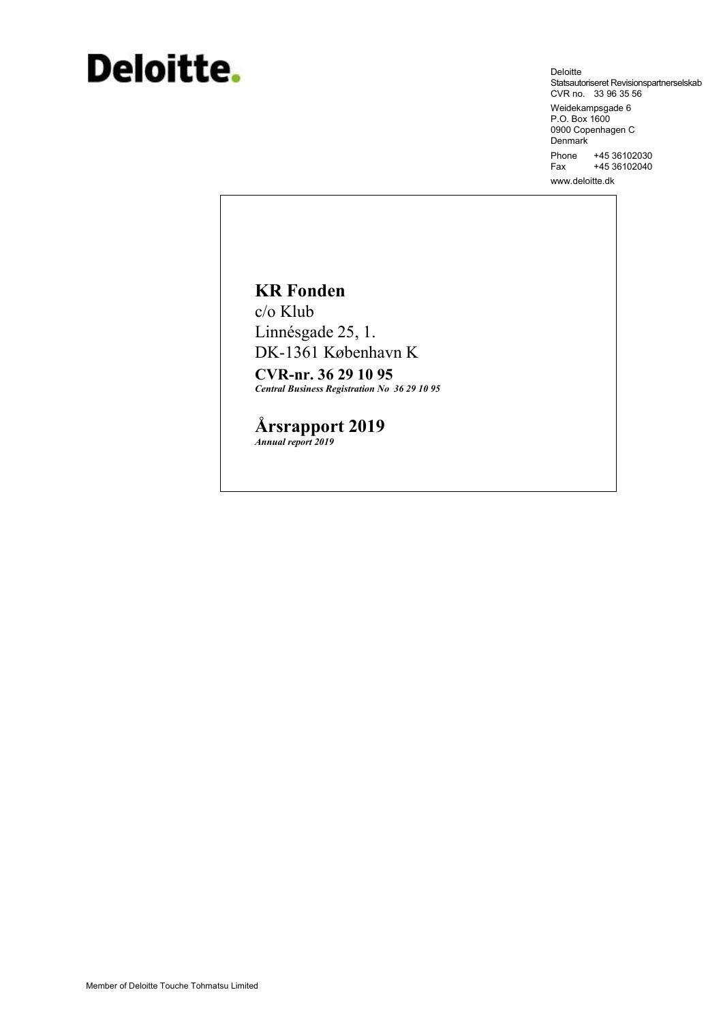# Deloitte.

Deloitte Statsautoriseret Revisionspartnerselskab<br>CVR no. 33 96 35 56 Weidekampsgade 6 P.O. Box 1600 0900 Copenhagen C Denmark Phone +45 36102030 Fax +45 36102040 www.deloitte.dk

## **KR** Fonden

c/o Klub Linnésgade 25, 1. DK-1361 København K

CVR-nr. 36 29 10 95 **Central Business Registration No 36 29 10 95** 

**Årsrapport 2019**<br>Annual report 2019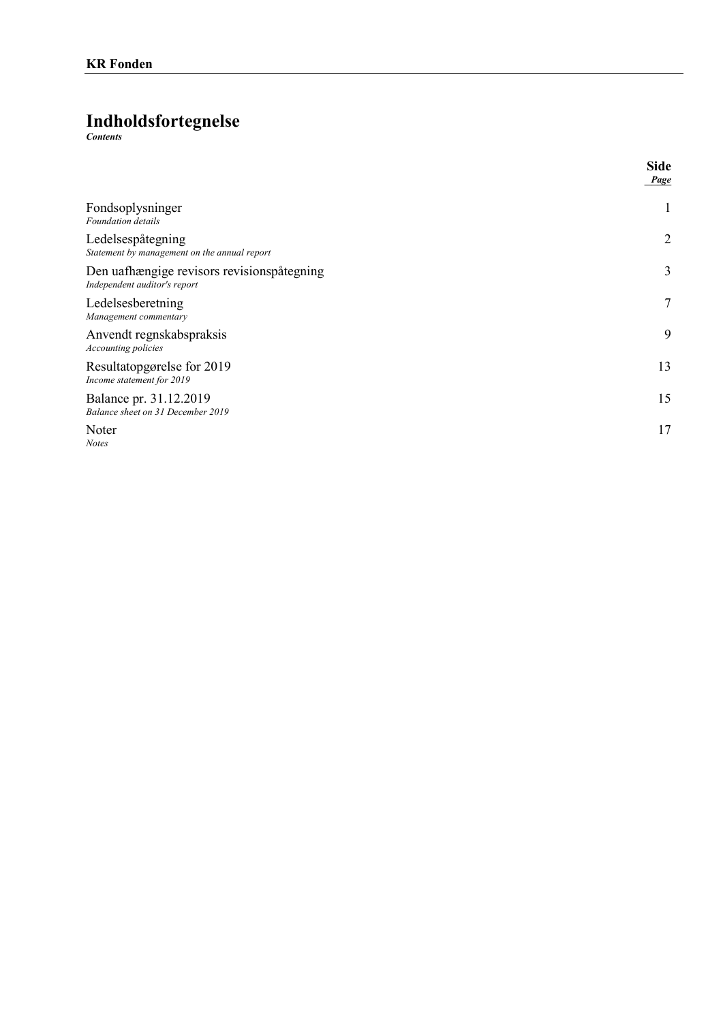## **Indholdsfortegnelse**

 $Contents$ 

|                                                                            | <b>Side</b><br><b>Page</b> |
|----------------------------------------------------------------------------|----------------------------|
| Fondsoplysninger<br><b>Foundation</b> details                              | 1                          |
| Ledelsespåtegning<br>Statement by management on the annual report          | 2                          |
| Den uafhængige revisors revisionspåtegning<br>Independent auditor's report | 3                          |
| Ledelsesberetning<br>Management commentary                                 | $\tau$                     |
| Anvendt regnskabspraksis<br>Accounting policies                            | 9                          |
| Resultatopgørelse for 2019<br>Income statement for 2019                    | 13                         |
| Balance pr. 31.12.2019<br>Balance sheet on 31 December 2019                | 15                         |
| Noter<br><b>Notes</b>                                                      | 17                         |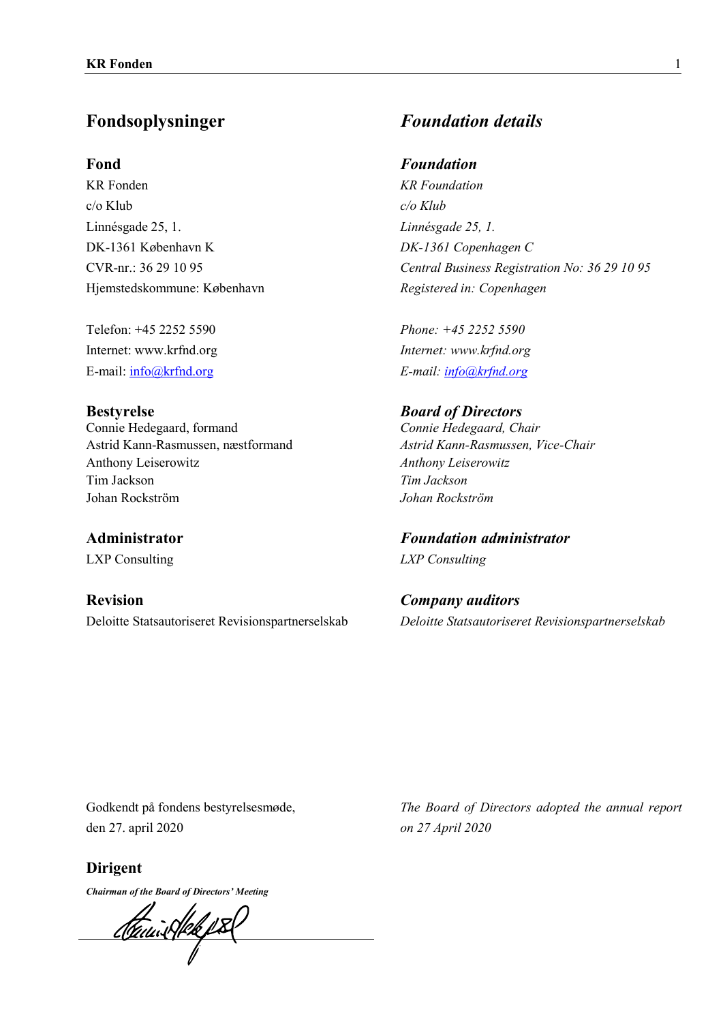## **Fond**

KR Fonden  $c$ / $o$  Klub Linnésgade 25, 1. DK-1361 København K CVR-nr.: 36 29 10 95 Hjemstedskommune: København

Telefon: +45 2252 5590 Internet: www.krfnd.org E-mail: info@krfnd.org

## **Bestyrelse**

Connie Hedegaard, formand Astrid Kann-Rasmussen, næstformand Anthony Leiserowitz Tim Jackson Johan Rockström

## **Administrator** LXP Consulting

**Revision** Deloitte Statsautoriseret Revisionspartnerselskab

## Fondsoplysninger *Foundation details*

## *Foundation*

*KR Foundation c/o Klub*  Linnésgade 25, 1. *DK-1361 Copenhagen C Central Business Registration No: 36 29 10 95 Registered in: Copenhagen*

*Phone: +45 2252 5590 Internet: www.krfnd.org E-mail: info@krfnd.org*

**Board of Directors** *Connie Hedegaard, Chair Astrid Kann-Rasmussen, Vice-Chair*   $A$ nthony Leiserowitz *Tim Jackson Johan Rockstr|m* 

*Foundation administrator LXP Consulting* 

*Company auditors Deloitte Statsautoriseret ReYisionspartnerselskab* 

Godkendt på fondens bestyrelsesmøde, den 27. april 2020

**Dirigent** 

*Chairman of the Board of Directors' Meeting* 

<u> Amir Hek</u> 18

*The Board of Directors adopted the annual report on 27 April 2020*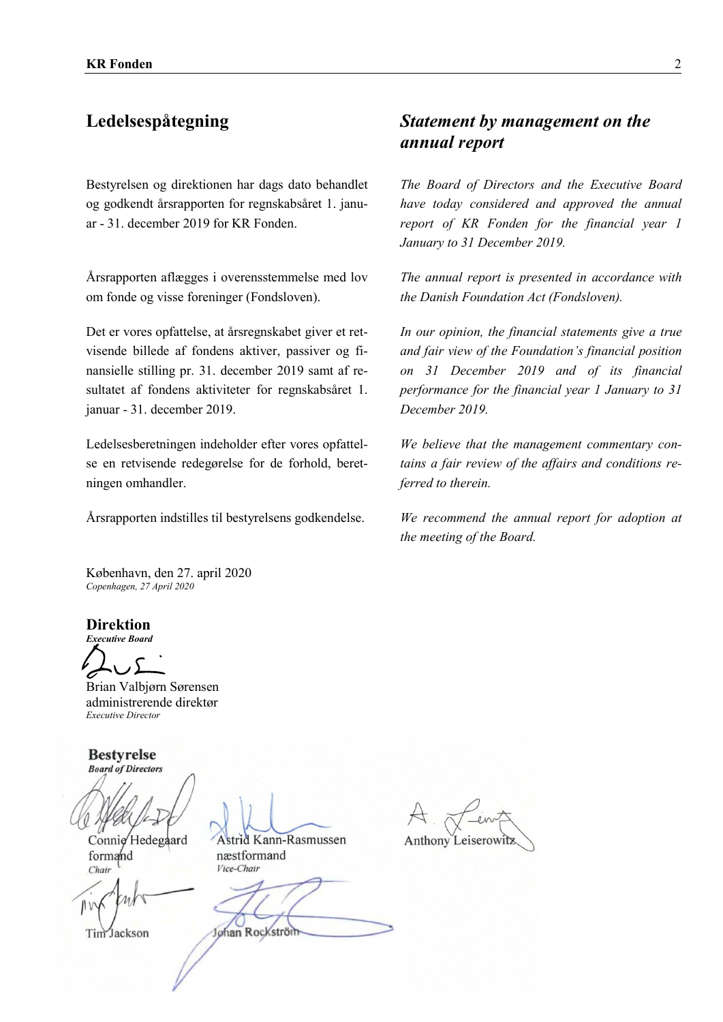## Ledelsespåtegning

Bestyrelsen og direktionen har dags dato behandlet og godkendt årsrapporten for regnskabsåret 1. januar - 31. december 2019 for KR Fonden.

Årsrapporten aflægges i overensstemmelse med lov om fonde og visse foreninger (Fondsloven).

Det er vores opfattelse, at årsregnskabet giver et retvisende billede af fondens aktiver, passiver og finansielle stilling pr. 31. december 2019 samt af resultatet af fondens aktiviteter for regnskabsåret 1. januar - 31. december 2019.

Ledelsesberetningen indeholder efter vores opfattelse en retvisende redegørelse for de forhold, beretningen omhandler.

Årsrapporten indstilles til bestyrelsens godkendelse.

### København, den 27. april 2020 *Copenhagen, 27 April 2020*

**Direktion** *Executive Board* 

Brian Valbiørn Sørensen administrerende direktør  $Exercise$  *Director* 

| <b>Bestyrelse</b><br><b>Board of Directors</b><br>Connie Hedegaard<br>formand<br>Chair | Astrid Kann-Rasmussen<br>næstformand<br>Vice-Chair | Anthony Leiserowitz |
|----------------------------------------------------------------------------------------|----------------------------------------------------|---------------------|
| Tim Jackson                                                                            | Ighan Rockström                                    |                     |

## *Statement by management on the annual report*

*The Board of Directors and the Executive Board haYe toda\ considered and approYed the annual report of KR Fonden for the financial \ear 1 Januar\ to 31 December 2019.* 

*The annual report is presented in accordance with the Danish Foundation Act (Fondsloven).* 

*In our opinion, the financial statements give a true and fair view of the Foundation's financial position on 31 December 2019 and of its financial performance for the financial \ear 1 Januar\ to 31 December 2019.* 

*We believe that the management commentary contains a fair review of the affairs and conditions referred to therein.* 

*We recommend the annual report for adoption at the meeting of the Board.*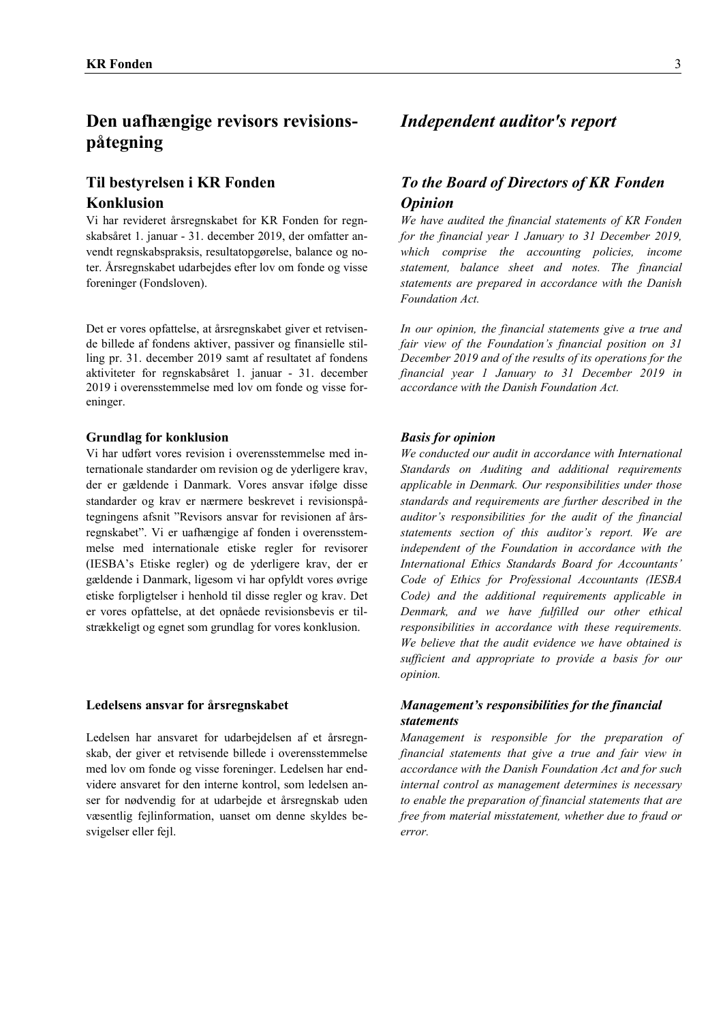## **Til bestyrelsen i KR Fonden Konklusion**

Vi har revideret årsregnskabet for KR Fonden for regnskabsåret 1. januar - 31. december 2019, der omfatter anvendt regnskabspraksis, resultatopgørelse, balance og noter. Årsregnskabet udarbejdes efter lov om fonde og visse foreninger (Fondsloven).

Det er vores opfattelse, at årsregnskabet giver et retvisende billede af fondens aktiver, passiver og finansielle stilling pr. 31. december 2019 samt af resultatet af fondens aktiviteter for regnskabsåret 1. januar - 31. december 2019 i overensstemmelse med lov om fonde og visse foreninger.

### **Grundlag for konklusion**

Vi har udført vores revision i overensstemmelse med internationale standarder om revision og de yderligere krav, der er gældende i Danmark. Vores ansvar ifølge disse standarder og krav er nærmere beskrevet i revisionspåtegningens afsnit "Revisors ansvar for revisionen af årsregnskabet". Vi er uafhængige af fonden i overensstemmelse med internationale etiske regler for revisorer (IESBA's Etiske regler) og de yderligere krav, der er gældende i Danmark, ligesom vi har opfyldt vores øvrige etiske forpligtelser i henhold til disse regler og krav. Det er vores opfattelse, at det opnåede revisionsbevis er tilstrækkeligt og egnet som grundlag for vores konklusion.

### Ledelsens ansvar for årsregnskabet

Ledelsen har ansvaret for udarbejdelsen af et årsregnskab, der giver et retvisende billede i overensstemmelse med loY om fonde og Yisse foreninger. Ledelsen har endvidere ansvaret for den interne kontrol, som ledelsen anser for nødvendig for at udarbejde et årsregnskab uden væsentlig fejlinformation, uanset om denne skyldes besvigelser eller fejl.

## *Independent auditor's report*

## *To the Board of Directors of KR Fonden Opinion*

*We have audited the financial statements of KR Fonden for the financial year 1 January to 31 December 2019, Zhich comprise the accounting policies, income statement, balance sheet and notes. The financial statements are prepared in accordance with the Danish Foundation Act.*

In our opinion, the financial statements give a true and *fair view of the Foundation's financial position on 31 December 2019 and of the results of its operations for the financial \ear 1 Januar\ to 31 December 2019 in accordance with the Danish Foundation Act.* 

### *Basis for opinion*

*We conducted our audit in accordance with International Standards on Auditing and additional requirements applicable in Denmark. Our responsibilities under those standards and requirements are further described in the auditor¶s responsibilities for the audit of the financial*  statements section of this auditor's report. We are *independent of the Foundation in accordance with the International Ethics Standards Board for Accountants¶ Code of Ethics for Professional Accountants (IESBA Code) and the additional requirements applicable in Denmark, and we have fulfilled our other ethical responsibilities in accordance with these requirements. We believe that the audit evidence we have obtained is* sufficient and appropriate to provide a basis for our *opinion.*

### *Management's responsibilities for the financial statements*

*Management is responsible for the preparation of financial statements that give a true and fair view in accordance Zith the Danish Foundation Act and for such internal control as management determines is necessar\ to enable the preparation of financial statements that are free from material misstatement, whether due to fraud or error.*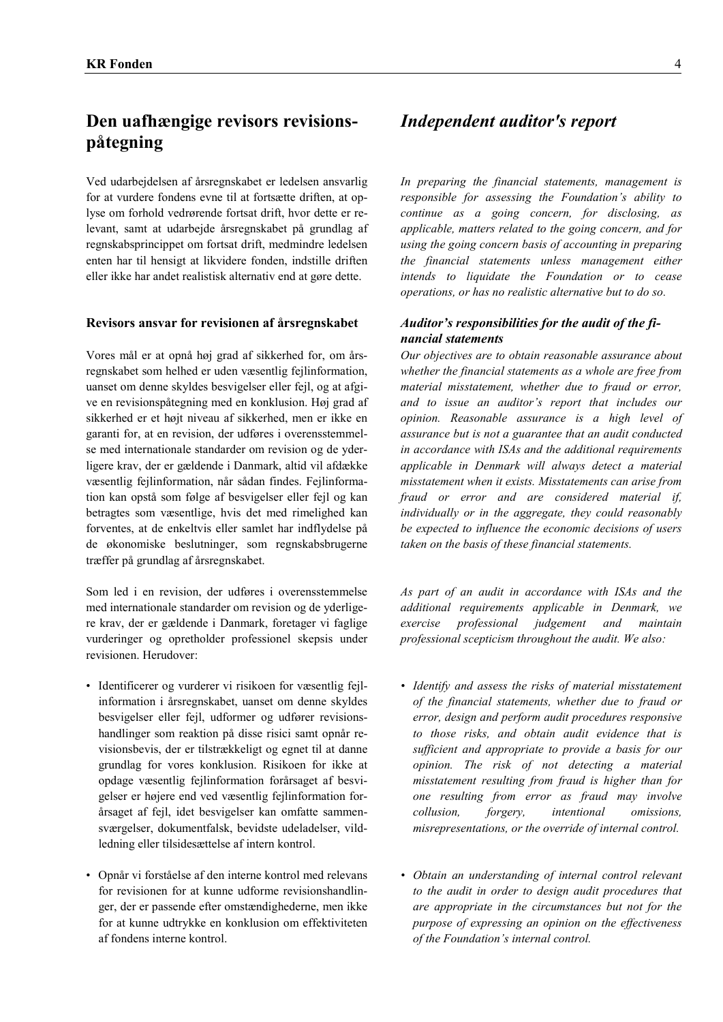Ved udarbejdelsen af årsregnskabet er ledelsen ansvarlig for at vurdere fondens evne til at fortsætte driften, at oplyse om forhold vedrørende fortsat drift, hvor dette er relevant, samt at udarbejde årsregnskabet på grundlag af regnskabsprincippet om fortsat drift, medmindre ledelsen enten har til hensigt at likvidere fonden, indstille driften eller ikke har andet realistisk alternativ end at gøre dette.

### Revisors ansvar for revisionen af årsregnskabet

Vores mål er at opnå høj grad af sikkerhed for, om årsregnskabet som helhed er uden væsentlig fejlinformation, uanset om denne skyldes besvigelser eller fejl, og at afgive en revisionspåtegning med en konklusion. Høj grad af sikkerhed er et højt niveau af sikkerhed, men er ikke en garanti for, at en revision, der udføres i overensstemmelse med internationale standarder om revision og de yderligere krav, der er gældende i Danmark, altid vil afdække væsentlig fejlinformation, når sådan findes. Fejlinformation kan opstå som følge af besvigelser eller fejl og kan betragtes som væsentlige, hvis det med rimelighed kan forventes, at de enkeltvis eller samlet har indflydelse på de økonomiske beslutninger, som regnskabsbrugerne træffer på grundlag af årsregnskabet.

Som led i en revision, der udføres i overensstemmelse med internationale standarder om revision og de yderligere krav, der er gældende i Danmark, foretager vi faglige vurderinger og opretholder professionel skepsis under revisionen. Herudover:

- Identificerer og vurderer vi risikoen for væsentlig fejlinformation i årsregnskabet, uanset om denne skyldes besvigelser eller fejl, udformer og udfører revisionshandlinger som reaktion på disse risici samt opnår revisionsbevis, der er tilstrækkeligt og egnet til at danne grundlag for vores konklusion. Risikoen for ikke at opdage væsentlig fejlinformation forårsaget af besvigelser er højere end ved væsentlig fejlinformation forårsaget af fejl, idet besvigelser kan omfatte sammensværgelser, dokumentfalsk, bevidste udeladelser, vildledning eller tilsidesættelse af intern kontrol.
- Opnår vi forståelse af den interne kontrol med relevans for revisionen for at kunne udforme revisionshandlinger, der er passende efter omstændighederne, men ikke for at kunne udtrykke en konklusion om effektiviteten af fondens interne kontrol.

## *Independent auditor's report*

*In preparing the financial statements, management is responsible for assessing the Foundation's ability to continue as a going concern, for disclosing, as applicable, matters related to the going concern, and for using the going concern basis of accounting in preparing the financial statements unless management either intends to liquidate the Foundation or to cease operations, or has no realistic alternative but to do so.* 

### *Auditor's responsibilities for the audit of the financial statements*

*Our objectives are to obtain reasonable assurance about whether the financial statements as a whole are free from material misstatement, whether due to fraud or error,* and to issue an auditor's report that includes our *opinion.* Reasonable assurance is a high level of *assurance but is not a guarantee that an audit conducted in accordance with ISAs and the additional requirements applicable in Denmark will always detect a material misstatement when it exists. Misstatements can arise from fraud or error and are considered material if, individually or in the aggregate, they could reasonably be expected to influence the economic decisions of users taken on the basis of these financial statements.* 

As part of an audit in accordance with ISAs and the *additional requirements applicable in Denmark, we*  $exercise$  professional judgement and maintain *professional scepticism throughout the audit. We also:*

- *Identif\ and assess the risks of material misstatement of the financial statements, Zhether due to fraud or error, design and perform audit procedures responsive* to those risks, and obtain audit evidence that is *sufficient and appropriate to provide a basis for our opinion. The risk of not detecting a material misstatement resulting from fraud is higher than for one resulting from error as fraud ma\ inYolYe collusion, forger\, intentional omissions, misrepresentations, or the override of internal control.*
- Obtain an understanding of internal control relevant *to the audit in order to design audit procedures that are appropriate in the circumstances but not for the purpose of expressing an opinion on the effectiveness of the Foundation¶s internal control.*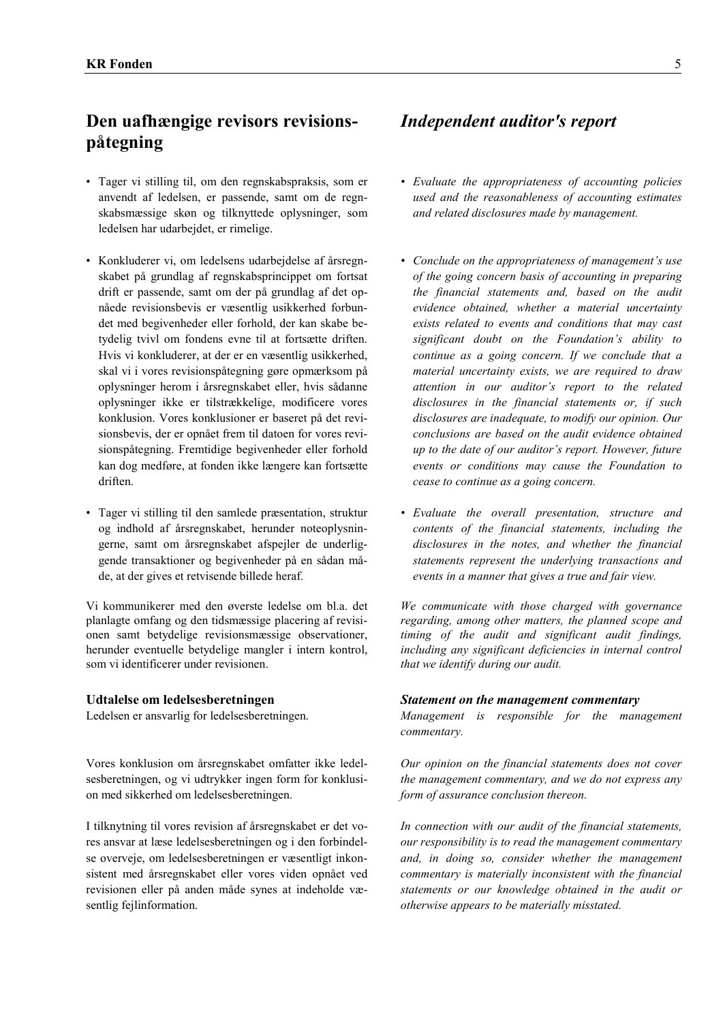- Tager Yi stilling til, om den regnskabspraksis, som er anvendt af ledelsen, er passende, samt om de regnskabsmæssige skøn og tilknyttede oplysninger, som ledelsen har udarbejdet, er rimelige.
- Konkluderer vi, om ledelsens udarbejdelse af årsregnskabet på grundlag af regnskabsprincippet om fortsat drift er passende, samt om der på grundlag af det opnåede revisionsbevis er væsentlig usikkerhed forbundet med begivenheder eller forhold, der kan skabe betydelig tvivl om fondens evne til at fortsætte driften. Hvis vi konkluderer, at der er en væsentlig usikkerhed, skal vi i vores revisionspåtegning gøre opmærksom på oplysninger herom i årsregnskabet eller, hvis sådanne oplysninger ikke er tilstrækkelige, modificere vores konklusion. Vores konklusioner er baseret på det revisionsbevis, der er opnået frem til datoen for vores revisionspåtegning. Fremtidige begivenheder eller forhold kan dog medføre, at fonden ikke længere kan fortsætte driften.
- Tager vi stilling til den samlede præsentation, struktur og indhold af årsregnskabet, herunder noteoplysningerne, samt om årsregnskabet afspejler de underliggende transaktioner og begivenheder på en sådan måde, at der gives et retvisende billede heraf.

Vi kommunikerer med den øverste ledelse om bl.a. det planlagte omfang og den tidsmæssige placering af revisionen samt betydelige revisionsmæssige observationer, herunder eventuelle betydelige mangler i intern kontrol, som vi identificerer under revisionen.

### **Udtalelse om ledelsesberetningen**

Ledelsen er ansvarlig for ledelsesberetningen.

Vores konklusion om årsregnskabet omfatter ikke ledelsesberetningen, og vi udtrykker ingen form for konklusion med sikkerhed om ledelsesberetningen.

I tilknytning til vores revision af årsregnskabet er det vores ansvar at læse ledelsesberetningen og i den forbindelse overveje, om ledelsesberetningen er væsentligt inkonsistent med årsregnskabet eller vores viden opnået ved revisionen eller på anden måde synes at indeholde væsentlig fejlinformation.

## *Independent auditor's report*

- *EYaluate the appropriateness of accounting policies used and the reasonableness of accounting estimates and related disclosures made b\ management.*
- Conclude on the appropriateness of management's use *of the going concern basis of accounting in preparing the financial statements and, based on the audit evidence obtained, whether a material uncertainty* exists related to events and conditions that may cast significant doubt on the Foundation's ability to *continue as a going concern. If we conclude that a material uncertainty exists, we are required to draw attention in our auditor¶s report to the related disclosures in the financial statements or, if such disclosures are inadequate, to modif\ our opinion. Our conclusions are based on the audit evidence obtained up to the date of our auditor's report. However, future eYents or conditions ma\ cause the Foundation to cease to continue as a going concern.*
- *EYaluate the oYerall presentation, structure and contents of the financial statements, including the*  disclosures in the notes, and whether the financial *statements represent the underl\ing transactions and events in a manner that gives a true and fair view.*

*We communicate with those charged with governance regarding, among other matters, the planned scope and timing of the audit and significant audit findings, including any significant deficiencies in internal control that we identify during our audit.* 

### *Statement on the management commentary*

*Management is responsible for the management commentar\.*

*Our opinion on the financial statements does not cover the management commentary, and we do not express any form of assurance conclusion thereon.* 

In connection with our audit of the financial statements, *our responsibility is to read the management commentary and, in doing so, consider Zhether the management commentary is materially inconsistent with the financial* statements or our knowledge obtained in the audit or *otherwise appears to be materially misstated.*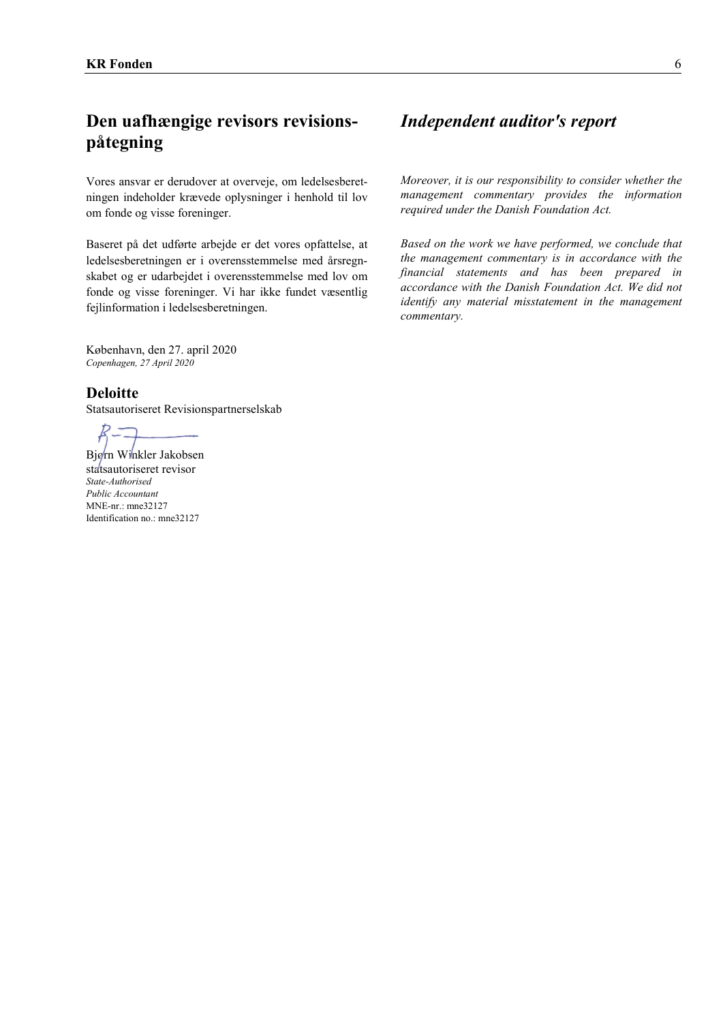Vores ansvar er derudover at overveje, om ledelsesberetningen indeholder krævede oplysninger i henhold til lov om fonde og Yisse foreninger.

Baseret på det udførte arbejde er det vores opfattelse, at ledelsesberetningen er i overensstemmelse med årsregnskabet og er udarbejdet i overensstemmelse med lov om fonde og visse foreninger. Vi har ikke fundet væsentlig fejlinformation i ledelsesberetningen.

København, den 27. april 2020 *Copenhagen, 27 April 2020* 

**Deloitte** Statsautoriseret Revisionspartnerselskab

Bjørn Winkler Jakobsen statsautoriseret revisor *State-Authorised Public Accountant*  MNE-nr.: mne32127 Identification no.: mne32127

## *Independent auditor's report*

*Moreover, it is our responsibility to consider whether the management commentary provides the information required under the Danish Foundation Act.* 

*Based on the work we have performed, we conclude that the management commentary is in accordance with the financial statements and has been prepared in*  accordance with the Danish Foundation Act. We did not *identif\ an\ material misstatement in the management commentar\.*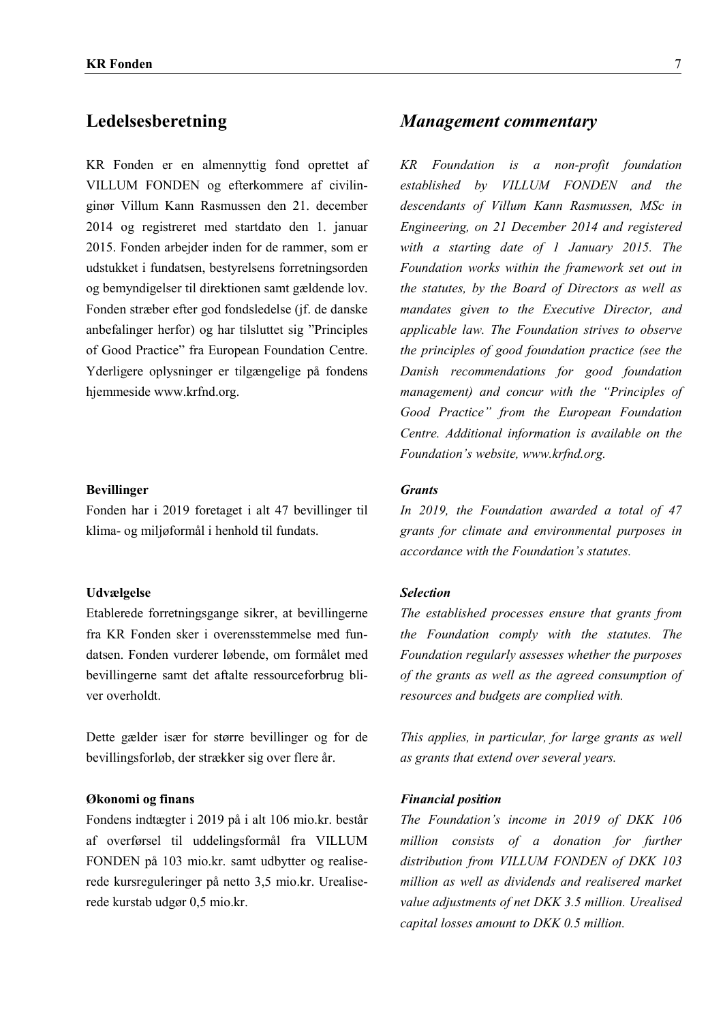KR Fonden er en almennyttig fond oprettet af VILLUM FONDEN og efterkommere af civilinginør Villum Kann Rasmussen den 21. december 2014 og registreret med startdato den 1. januar 2015. Fonden arbejder inden for de rammer, som er udstukket i fundatsen, bestyrelsens forretningsorden og bemyndigelser til direktionen samt gældende lov. Fonden stræber efter god fondsledelse (jf. de danske anbefalinger herfor) og har tilsluttet sig "Principles of Good Practice" fra European Foundation Centre. Yderligere oplysninger er tilgængelige på fondens hjemmeside www.krfnd.org.

### **Bevillinger**

Fonden har i 2019 foretaget i alt 47 bevillinger til klima- og miljøformål i henhold til fundats.

## Udvælgelse

Etablerede forretningsgange sikrer, at bevillingerne fra KR Fonden sker i overensstemmelse med fundatsen. Fonden vurderer løbende, om formålet med bevillingerne samt det aftalte ressourceforbrug bliver overholdt.

Dette gælder især for større bevillinger og for de bevillingsforløb, der strækker sig over flere år.

### **Økonomi** og finans

Fondens indtægter i 2019 på i alt 106 mio.kr. består af overførsel til uddelingsformål fra VILLUM FONDEN på 103 mio.kr. samt udbytter og realiserede kursreguleringer på netto 3,5 mio.kr. Urealiserede kurstab udgør 0,5 mio.kr.

## Ledelsesberetning *Management commentary*

*KR Foundation is a non-profit foundation established b\ VILLUM FONDEN and the descendants of Villum Kann Rasmussen, MSc in Engineering, on 21 December 2014 and registered*  with a starting date of 1 January 2015. The *Foundation works within the framework set out in the statutes, by the Board of Directors as well as mandates given to the Executive Director, and applicable law. The Foundation strives to observe the principles of good foundation practice (see the Danish recommendations for good foundation management*) and concur with the "Principles of *Good Practice´ from the European Foundation Centre. Additional information is available on the Foundation's website, www.krfnd.org.* 

### *Grants*

In 2019, the Foundation awarded a total of 47 *grants for climate and enYironmental purposes in accordance with the Foundation's statutes.* 

## *Selection*

*The established processes ensure that grants from the Foundation compl\ Zith the statutes. The Foundation regularly assesses whether the purposes of the grants as well as the agreed consumption of resources and budgets are complied with.* 

*This applies, in particular, for large grants as well as grants that extend over several years.* 

### *Financial position*

*The Foundation's income in 2019 of DKK 106 million consists of a donation for further distribution from VILLUM FONDEN of DKK 103*  million as well as dividends and realisered market *Yalue adjustments of net DKK 3.5 million. Urealised capital losses amount to DKK 0.5 million.*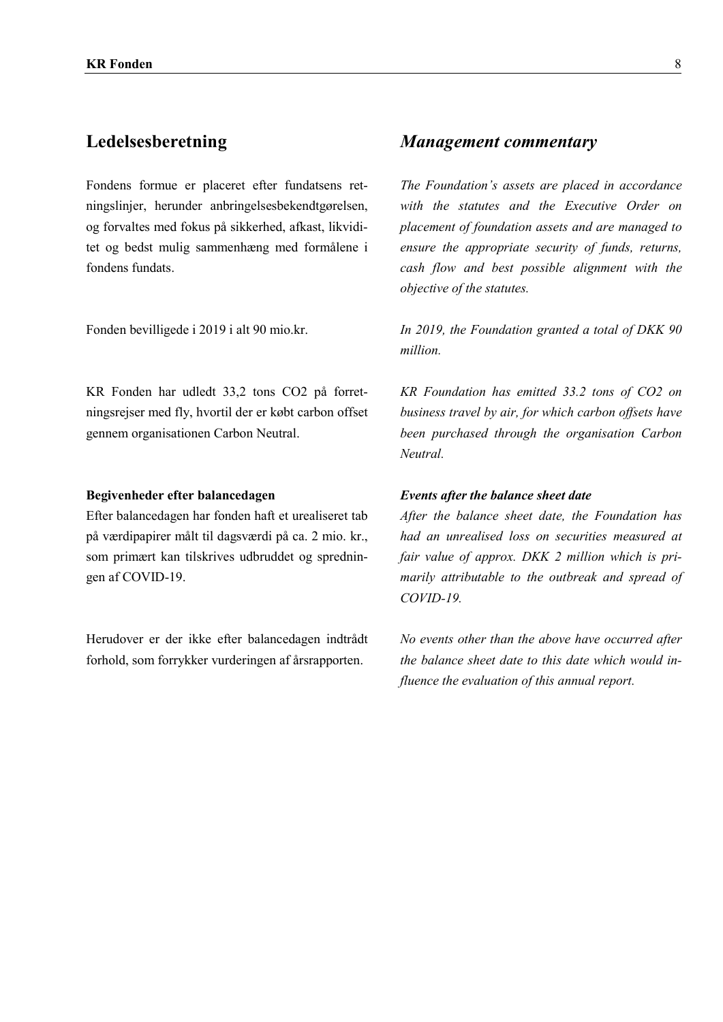Fondens formue er placeret efter fundatsens retningslinjer, herunder anbringelsesbekendtgørelsen, og forvaltes med fokus på sikkerhed, afkast, likviditet og bedst mulig sammenhæng med formålene i fondens fundats.

Fonden bevilligede i 2019 i alt 90 mio.kr.

KR Fonden har udledt 33,2 tons CO2 på forretningsrejser med fly, hvortil der er købt carbon offset gennem organisationen Carbon Neutral.

### **Begivenheder efter balancedagen**

Efter balancedagen har fonden haft et urealiseret tab på værdipapirer målt til dagsværdi på ca. 2 mio. kr., som primært kan tilskrives udbruddet og spredningen af COVID-19.

Herudover er der ikke efter balancedagen indtrådt forhold, som forrykker vurderingen af årsrapporten.

## Ledelsesberetning *Management commentary*

*The Foundation¶s assets are placed in accordance*   $with$  the statutes and the Executive Order on *placement of foundation assets and are managed to ensure the appropriate securit\ of funds, returns,*   $cash$  flow and best possible alignment with the *<i>objective of the statutes.* 

*In 2019, the Foundation granted a total of DKK 90 million.* 

*KR Foundation has emitted 33.2 tons of CO2 on business travel by air, for which carbon offsets have been purchased through the organisation Carbon Neutral.* 

### *Events after the balance sheet date*

*After the balance sheet date, the Foundation has had an unrealised loss on securities measured at fair value of approx. DKK 2 million which is primaril\ attributable to the outbreak and spread of COVID-19.* 

*No events other than the above have occurred after the balance sheet date to this date which would influence the evaluation of this annual report.*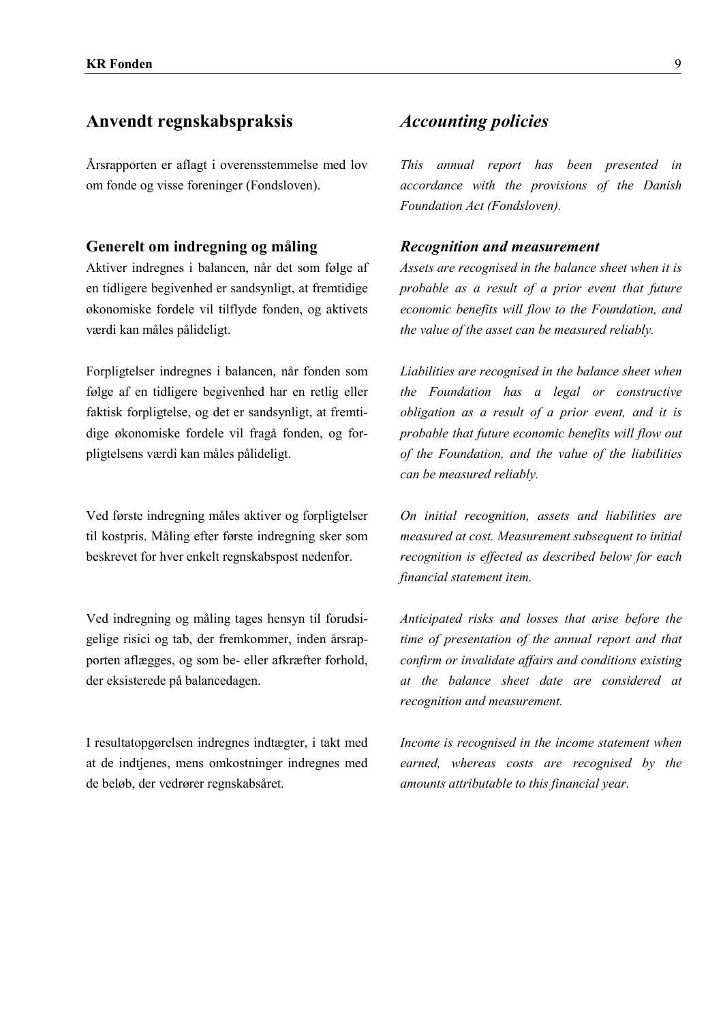## Anvendt regnskabspraksis *Accounting policies*

Årsrapporten er aflagt i overensstemmelse med lov om fonde og Yisse foreninger (FondsloYen).

## **Generelt om indregning og måling**

Aktiver indregnes i balancen, når det som følge af en tidligere begivenhed er sandsynligt, at fremtidige økonomiske fordele vil tilflyde fonden, og aktivets værdi kan måles pålideligt.

Forpligtelser indregnes i balancen, når fonden som følge af en tidligere begivenhed har en retlig eller faktisk forpligtelse, og det er sandsynligt, at fremtidige økonomiske fordele vil fragå fonden, og forpligtelsens værdi kan måles pålideligt.

Ved første indregning måles aktiver og forpligtelser til kostpris. Måling efter første indregning sker som beskrevet for hver enkelt regnskabspost nedenfor.

Ved indregning og måling tages hensyn til forudsigelige risici og tab, der fremkommer, inden årsrapporten aflægges, og som be- eller afkræfter forhold, der eksisterede på balancedagen.

I resultatopgørelsen indregnes indtægter, i takt med at de indtjenes, mens omkostninger indregnes med de beløb, der vedrører regnskabsåret.

*This annual report has been presented in accordance Zith the proYisions of the Danish*  **Foundation Act (Fondsloven).** 

## *Recognition and measurement*

*Assets are recognised in the balance sheet when it is probable as a result of a prior event that future economic benefits will flow to the Foundation, and the Yalue of the asset can be measured reliabl\.* 

*Liabilities are recognised in the balance sheet when the Foundation has a legal or constructive obligation as a result of a prior event, and it is probable that future economic benefits will flow out of the Foundation, and the Yalue of the liabilities can be measured reliabl\.* 

*On initial recognition, assets and liabilities are measured at cost. Measurement subsequent to initial recognition is effected as described below for each financial statement item.* 

*Anticipated risks and losses that arise before the time of presentation of the annual report and that confirm or invalidate affairs and conditions existing at the balance sheet date are considered at recognition and measurement.* 

*Income is recognised in the income statement when* earned, whereas costs are recognised by the *amounts attributable to this financial \ear.*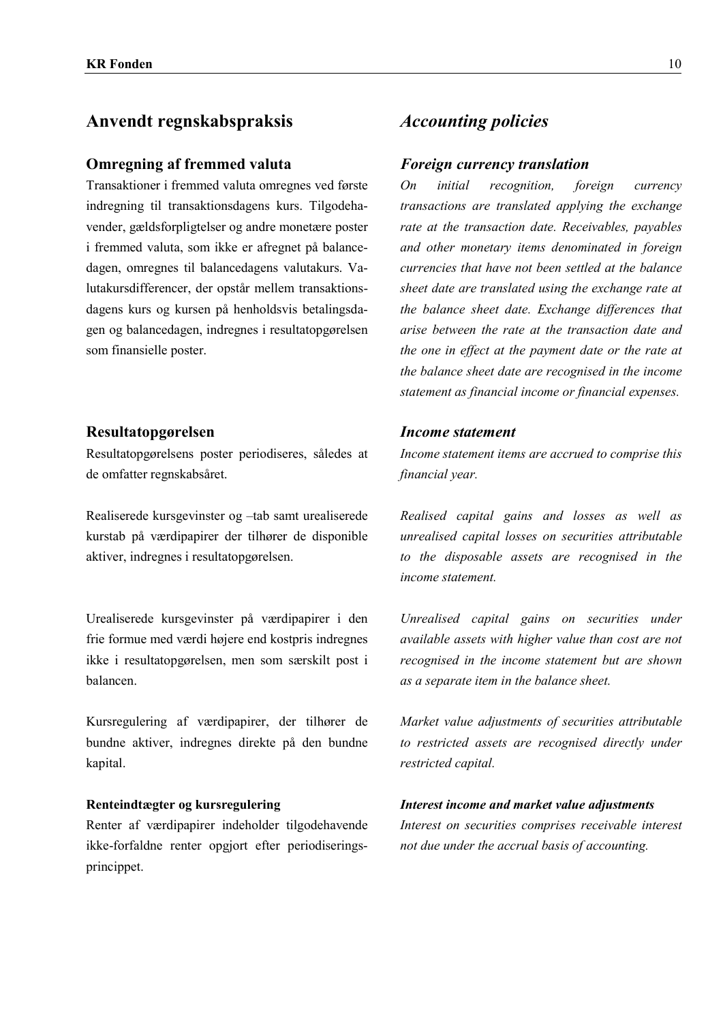## Anvendt regnskabspraksis *Accounting policies*

### **Omregning af fremmed valuta**

Transaktioner i fremmed valuta omregnes ved første indregning til transaktionsdagens kurs. Tilgodehavender, gældsforpligtelser og andre monetære poster i fremmed valuta, som ikke er afregnet på balancedagen, omregnes til balancedagens valutakurs. Valutakursdifferencer, der opstår mellem transaktionsdagens kurs og kursen på henholdsvis betalingsdagen og balancedagen, indregnes i resultatopgørelsen som finansielle poster.

## **Resultatopgørelsen**

Resultatopgørelsens poster periodiseres, således at de omfatter regnskabsåret.

Realiserede kursgevinster og -tab samt urealiserede kurstab på værdipapirer der tilhører de disponible aktiver, indregnes i resultatopgørelsen.

Urealiserede kursgevinster på værdipapirer i den frie formue med værdi højere end kostpris indregnes ikke i resultatopgørelsen, men som særskilt post i balancen.

Kursregulering af værdipapirer, der tilhører de bundne aktiver, indregnes direkte på den bundne kapital.

## **Renteindtægter og kursregulering**

Renter af værdipapirer indeholder tilgodehavende ikke-forfaldne renter opgjort efter periodiseringsprincippet.

### *Foreign currency translation*

*On initial recognition, foreign currenc\ transactions are translated applying the exchange rate at the transaction date. Receivables, payables and other monetar\ items denominated in foreign currencies that have not been settled at the balance sheet date are translated using the exchange rate at the balance sheet date. Exchange differences that arise between the rate at the transaction date and the one in effect at the payment date or the rate at the balance sheet date are recognised in the income statement as financial income or financial expenses.* 

## *Income statement*

*Income statement items are accrued to comprise this financial \ear.* 

*Realised capital gains and losses as well as unrealised capital losses on securities attributable to the disposable assets are recognised in the income statement.* 

*Unrealised capital gains on securities under aYailable assets Zith higher Yalue than cost are not recognised in the income statement but are shown as a separate item in the balance sheet.* 

*Market Yalue adjustments of securities attributable to restricted assets are recognised directl\ under restricted capital.* 

## *Interest income and market value adjustments*

*Interest on securities comprises receivable interest not due under the accrual basis of accounting.*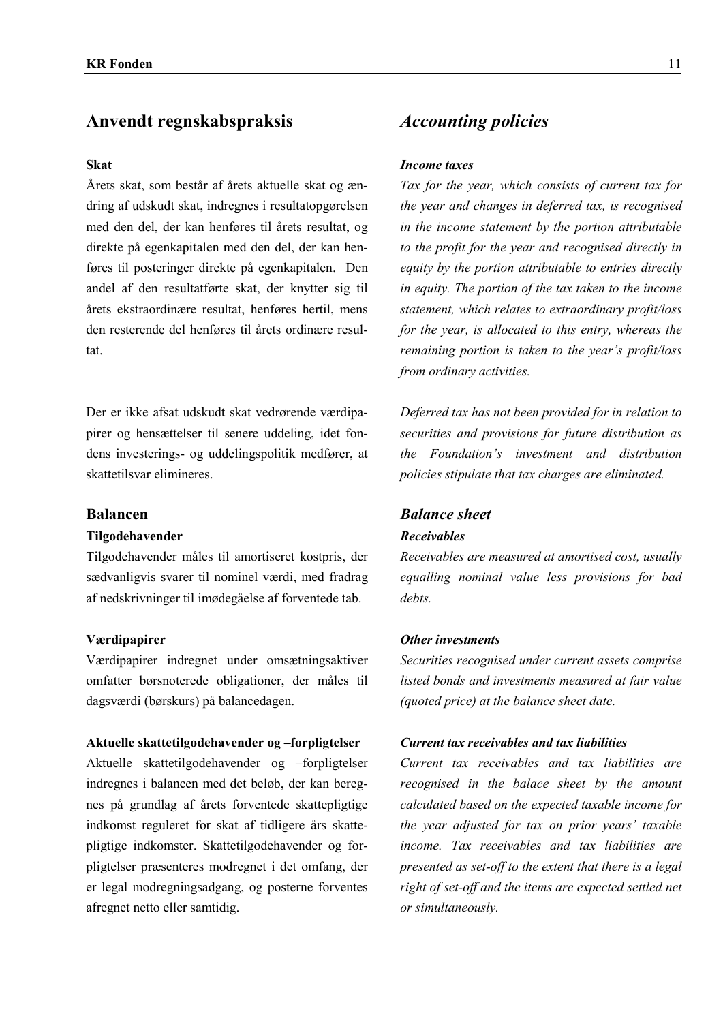## Anvendt regnskabspraksis *<i>Accounting policies*

### **Skat**

Årets skat, som består af årets aktuelle skat og ændring af udskudt skat, indregnes i resultatopgørelsen med den del, der kan henføres til årets resultat, og direkte på egenkapitalen med den del, der kan henføres til posteringer direkte på egenkapitalen. Den andel af den resultatførte skat, der knytter sig til årets ekstraordinære resultat, henføres hertil, mens den resterende del henføres til årets ordinære resultat.

Der er ikke afsat udskudt skat vedrørende værdipapirer og hensættelser til senere uddeling, idet fondens investerings- og uddelingspolitik medfører, at skattetilsvar elimineres.

### **Tilgodehavender**

Tilgodehavender måles til amortiseret kostpris, der sædvanligvis svarer til nominel værdi, med fradrag af nedskrivninger til imødegåelse af forventede tab.

### **Værdipapirer**

Værdipapirer indregnet under omsætningsaktiver omfatter børsnoterede obligationer, der måles til dagsværdi (børskurs) på balancedagen.

### Aktuelle skattetilgodehavender og -forpligtelser *Current tax receivables and tax liabilities*

Aktuelle skattetilgodehavender og -forpligtelser indregnes i balancen med det beløb, der kan beregnes på grundlag af årets forventede skattepligtige indkomst reguleret for skat af tidligere års skattepligtige indkomster. Skattetilgodehavender og forpligtelser præsenteres modregnet i det omfang, der er legal modregningsadgang, og posterne forventes afregnet netto eller samtidig.

### *Income taxes*

*Tax for the year, which consists of current tax for the year and changes in deferred tax, is recognised in the income statement b\ the portion attributable to the profit for the \ear and recognised directl\ in equit\ b\ the portion attributable to entries directl\ in equity. The portion of the tax taken to the income statement, which relates to extraordinary profit/loss for the year, is allocated to this entry, whereas the remaining portion is taken to the year's profit/loss from ordinary activities.* 

*Deferred ta[ has not been proYided for in relation to securities and provisions for future distribution as the Foundation¶s inYestment and distribution policies stipulate that tax charges are eliminated.* 

## **Balancen** *Balance sheet Receivables*

*ReceiYables are measured at amortised cost, usuall\ equalling nominal value less provisions for bad debts.* 

### *Other investments*

*Securities recognised under current assets comprise listed bonds and inYestments measured at fair Yalue (quoted price) at the balance sheet date.* 

*Current tax receivables and tax liabilities are recognised in the balace sheet b\ the amount calculated based on the expected taxable income for the year adjusted for tax on prior years' taxable income. Tax receivables and tax liabilities are presented as set-off to the extent that there is a legal right of set-off and the items are expected settled net or simultaneousl\.*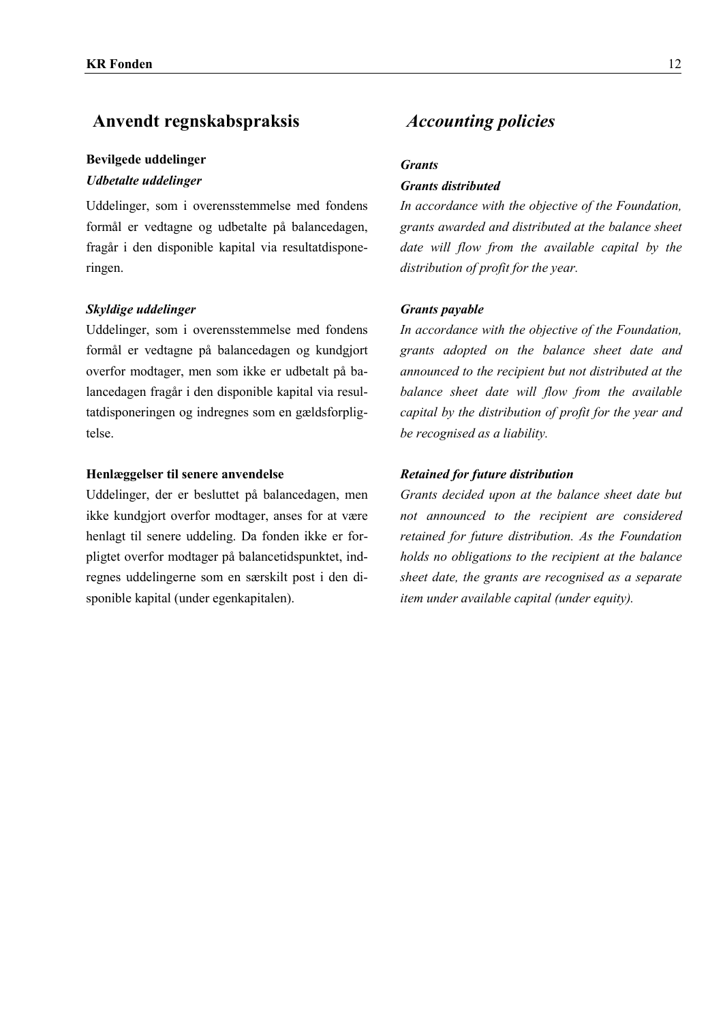## Anvendt regnskabspraksis *Accounting policies*

### **Bevilgede uddelinger**

## *<i>Udbetalte* uddelinger

Uddelinger, som i overensstemmelse med fondens formål er vedtagne og udbetalte på balancedagen, fragår i den disponible kapital via resultatdisponeringen.

### *Skyldige uddelinger Grants payable*

Uddelinger, som i overensstemmelse med fondens formål er vedtagne på balancedagen og kundgjort overfor modtager, men som ikke er udbetalt på balancedagen fragår i den disponible kapital via resultatdisponeringen og indregnes som en gældsforpligtelse.

## **Henlæggelser til senere anvendelse** *Retained for future distribution*

Uddelinger, der er besluttet på balancedagen, men ikke kundgjort overfor modtager, anses for at være henlagt til senere uddeling. Da fonden ikke er forpligtet overfor modtager på balancetidspunktet, indregnes uddelingerne som en særskilt post i den disponible kapital (under egenkapitalen).

### *Grants*

## *Grants distributed*

In accordance with the objective of the Foundation, grants awarded and distributed at the balance sheet date will flow from the available capital by the *distribution of profit for the \ear.* 

In accordance with the objective of the Foundation, *grants adopted on the balance sheet date and announced to the recipient but not distributed at the balance sheet date will flow from the available capital b\ the distribution of profit for the \ear and be recognised as a liabilit\.* 

*Grants decided upon at the balance sheet date but not announced to the recipient are considered retained for future distribution. As the Foundation holds no obligations to the recipient at the balance sheet date, the grants are recognised as a separate item under available capital (under equity).*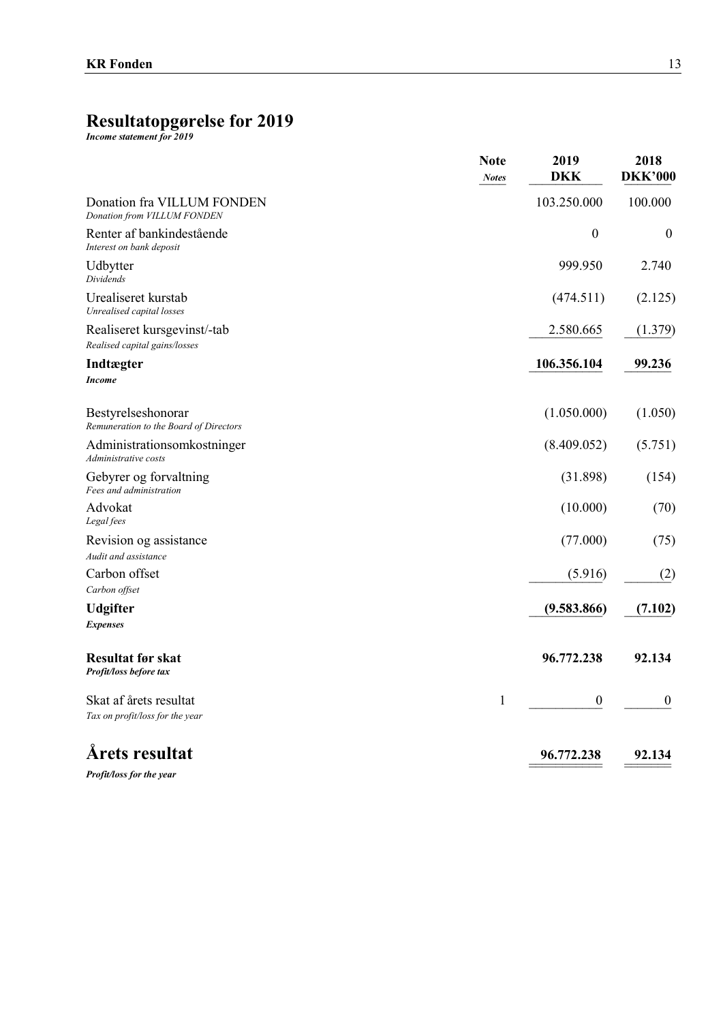# Resultatopgørelse for 2019

Profit/loss for the year

|                                                              | <b>Note</b><br><b>Notes</b> | 2019<br><b>DKK</b> | 2018<br><b>DKK'000</b> |
|--------------------------------------------------------------|-----------------------------|--------------------|------------------------|
| Donation fra VILLUM FONDEN<br>Donation from VILLUM FONDEN    |                             | 103.250.000        | 100.000                |
| Renter af bankindestående<br>Interest on bank deposit        |                             | $\boldsymbol{0}$   | $\boldsymbol{0}$       |
| Udbytter<br>Dividends                                        |                             | 999.950            | 2.740                  |
| Urealiseret kurstab<br>Unrealised capital losses             |                             | (474.511)          | (2.125)                |
| Realiseret kursgevinst/-tab<br>Realised capital gains/losses |                             | 2.580.665          | (1.379)                |
| Indtægter<br><b>Income</b>                                   |                             | 106.356.104        | 99.236                 |
| Bestyrelseshonorar<br>Remuneration to the Board of Directors |                             | (1.050.000)        | (1.050)                |
| Administrationsomkostninger<br>Administrative costs          |                             | (8.409.052)        | (5.751)                |
| Gebyrer og forvaltning<br>Fees and administration            |                             | (31.898)           | (154)                  |
| Advokat<br>Legal fees                                        |                             | (10.000)           | (70)                   |
| Revision og assistance<br>Audit and assistance               |                             | (77.000)           | (75)                   |
| Carbon offset<br>Carbon offset                               |                             | (5.916)            | (2)                    |
| <b>Udgifter</b><br><b>Expenses</b>                           |                             | (9.583.866)        | (7.102)                |
| <b>Resultat før skat</b><br>Profit/loss before tax           |                             | 96.772.238         | 92.134                 |
| Skat af årets resultat                                       | $\mathbf{1}$                | $\boldsymbol{0}$   | $\boldsymbol{0}$       |
| Tax on profit/loss for the year                              |                             |                    |                        |
| Årets resultat                                               |                             | 96.772.238         | 92.134                 |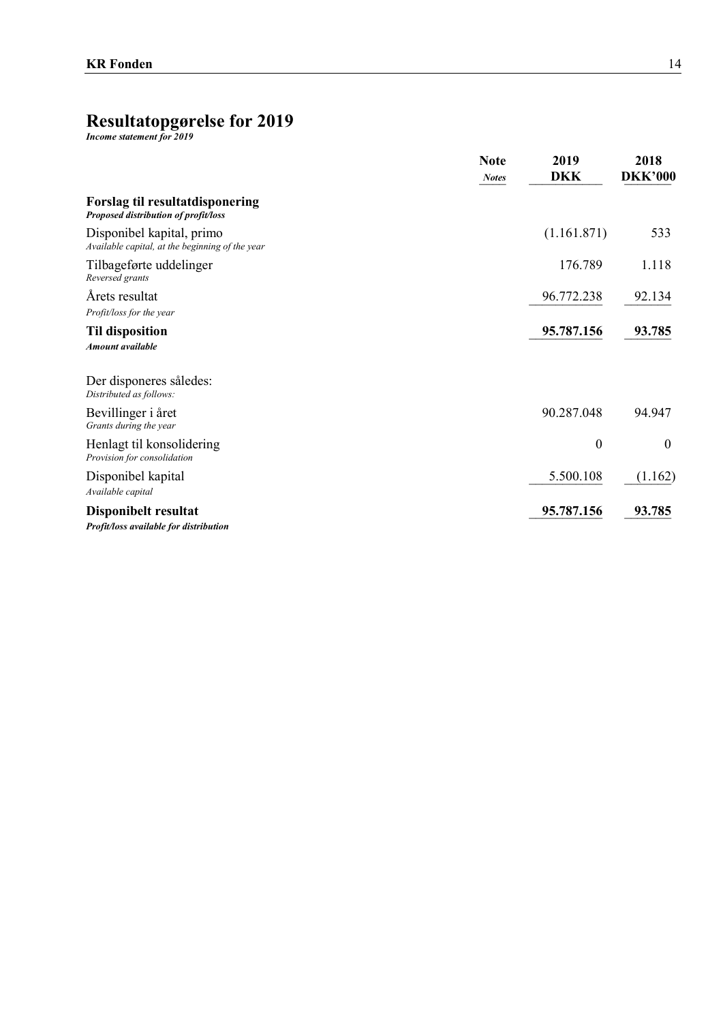## **Resultatopgørelse for 2019**

*Income statement for 2019* 

|                                                                                | <b>Note</b><br><b>Notes</b> | 2019<br><b>DKK</b> | 2018<br><b>DKK'000</b> |
|--------------------------------------------------------------------------------|-----------------------------|--------------------|------------------------|
| <b>Forslag til resultatdisponering</b><br>Proposed distribution of profit/loss |                             |                    |                        |
| Disponibel kapital, primo<br>Available capital, at the beginning of the year   |                             | (1.161.871)        | 533                    |
| Tilbageførte uddelinger<br>Reversed grants                                     |                             | 176.789            | 1.118                  |
| Årets resultat<br>Profit/loss for the year                                     |                             | 96.772.238         | 92.134                 |
| <b>Til disposition</b><br><b>Amount available</b>                              |                             | 95.787.156         | 93.785                 |
| Der disponeres således:<br>Distributed as follows:                             |                             |                    |                        |
| Bevillinger i året<br>Grants during the year                                   |                             | 90.287.048         | 94.947                 |
| Henlagt til konsolidering<br>Provision for consolidation                       |                             | $\boldsymbol{0}$   | $\mathbf{0}$           |
| Disponibel kapital<br>Available capital                                        |                             | 5.500.108          | (1.162)                |
| <b>Disponibelt resultat</b><br>Profit/loss available for distribution          |                             | 95.787.156         | 93.785                 |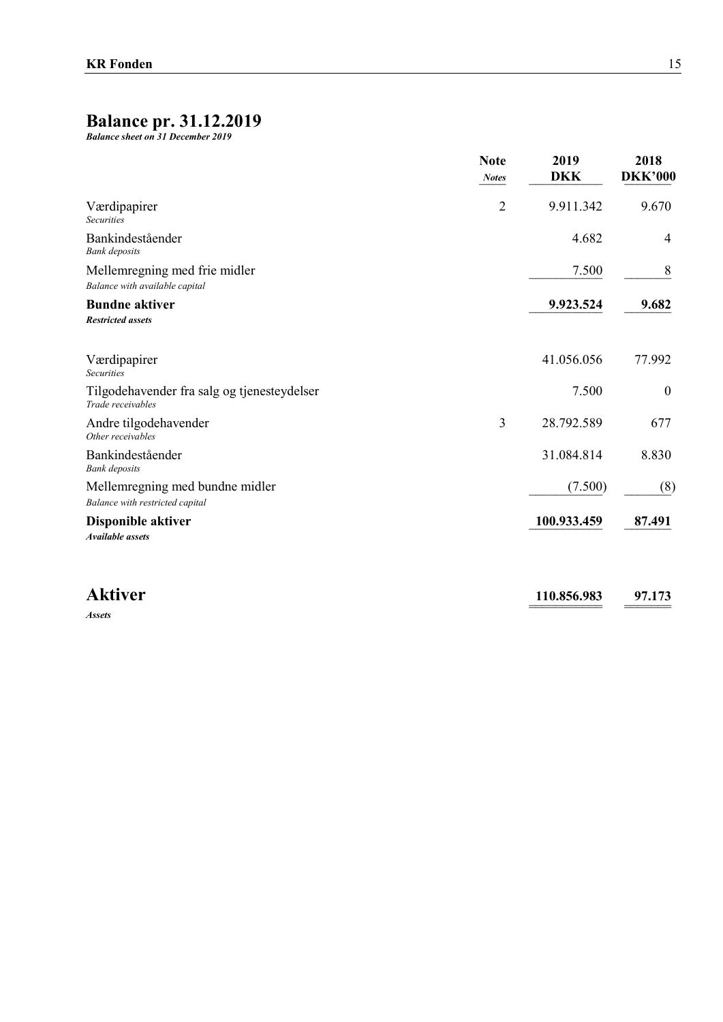## **Balance pr. 31.12.2019**

**Balance sheet on 31 December 2019** 

|                                                                    | <b>Note</b><br><b>Notes</b> | 2019<br><b>DKK</b> | 2018<br><b>DKK'000</b> |
|--------------------------------------------------------------------|-----------------------------|--------------------|------------------------|
| Værdipapirer<br><b>Securities</b>                                  | $\overline{2}$              | 9.911.342          | 9.670                  |
| Bankindeståender<br><b>Bank</b> deposits                           |                             | 4.682              | 4                      |
| Mellemregning med frie midler<br>Balance with available capital    |                             | 7.500              | 8                      |
| <b>Bundne aktiver</b><br><b>Restricted assets</b>                  |                             | 9.923.524          | 9.682                  |
| Værdipapirer<br><b>Securities</b>                                  |                             | 41.056.056         | 77.992                 |
| Tilgodehavender fra salg og tjenesteydelser<br>Trade receivables   |                             | 7.500              | $\mathbf{0}$           |
| Andre tilgodehavender<br>Other receivables                         | 3                           | 28.792.589         | 677                    |
| Bankindeståender<br><b>Bank</b> deposits                           |                             | 31.084.814         | 8.830                  |
| Mellemregning med bundne midler<br>Balance with restricted capital |                             | (7.500)            | (8)                    |
| Disponible aktiver<br><b>Available</b> assets                      |                             | 100.933.459        | 87.491                 |
|                                                                    |                             |                    |                        |

| <b>Aktiver</b>       | 110.856.983 | 97.173 |
|----------------------|-------------|--------|
| <i><b>Assets</b></i> |             |        |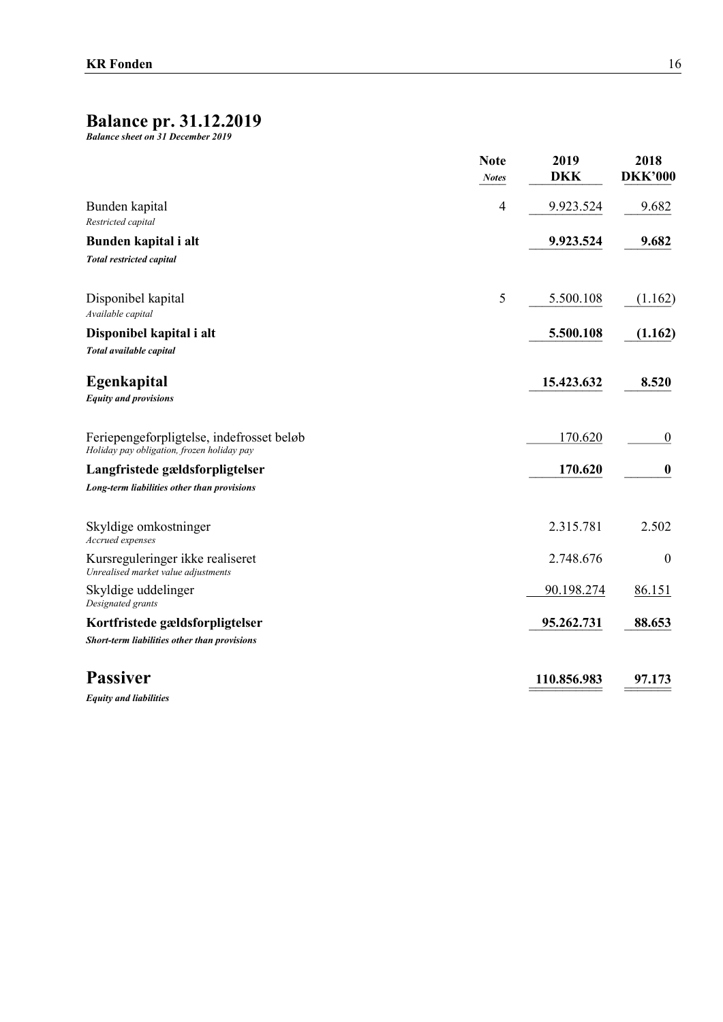## **Balance pr. 31.12.2019**

**Balance sheet on 31 December 2019** 

|                                                                                         | <b>Note</b><br><b>Notes</b> | 2019<br><b>DKK</b> | 2018<br><b>DKK'000</b> |
|-----------------------------------------------------------------------------------------|-----------------------------|--------------------|------------------------|
| Bunden kapital                                                                          | $\overline{4}$              | 9.923.524          | 9.682                  |
| Restricted capital                                                                      |                             |                    |                        |
| Bunden kapital i alt                                                                    |                             | 9.923.524          | 9.682                  |
| <b>Total restricted capital</b>                                                         |                             |                    |                        |
| Disponibel kapital                                                                      | 5                           | 5.500.108          | (1.162)                |
| Available capital                                                                       |                             |                    |                        |
| Disponibel kapital i alt                                                                |                             | 5.500.108          | (1.162)                |
| Total available capital                                                                 |                             |                    |                        |
| Egenkapital                                                                             |                             | 15.423.632         | 8.520                  |
| <b>Equity and provisions</b>                                                            |                             |                    |                        |
| Feriepengeforpligtelse, indefrosset beløb<br>Holiday pay obligation, frozen holiday pay |                             | 170.620            | $\boldsymbol{0}$       |
| Langfristede gældsforpligtelser                                                         |                             | 170.620            | $\boldsymbol{0}$       |
| Long-term liabilities other than provisions                                             |                             |                    |                        |
| Skyldige omkostninger<br>Accrued expenses                                               |                             | 2.315.781          | 2.502                  |
| Kursreguleringer ikke realiseret<br>Unrealised market value adjustments                 |                             | 2.748.676          | $\boldsymbol{0}$       |
| Skyldige uddelinger<br>Designated grants                                                |                             | 90.198.274         | 86.151                 |
| Kortfristede gældsforpligtelser                                                         |                             | 95.262.731         | 88.653                 |
| Short-term liabilities other than provisions                                            |                             |                    |                        |
| <b>Passiver</b>                                                                         |                             | 110.856.983        | 97.173                 |
| <b>Equity and liabilities</b>                                                           |                             |                    |                        |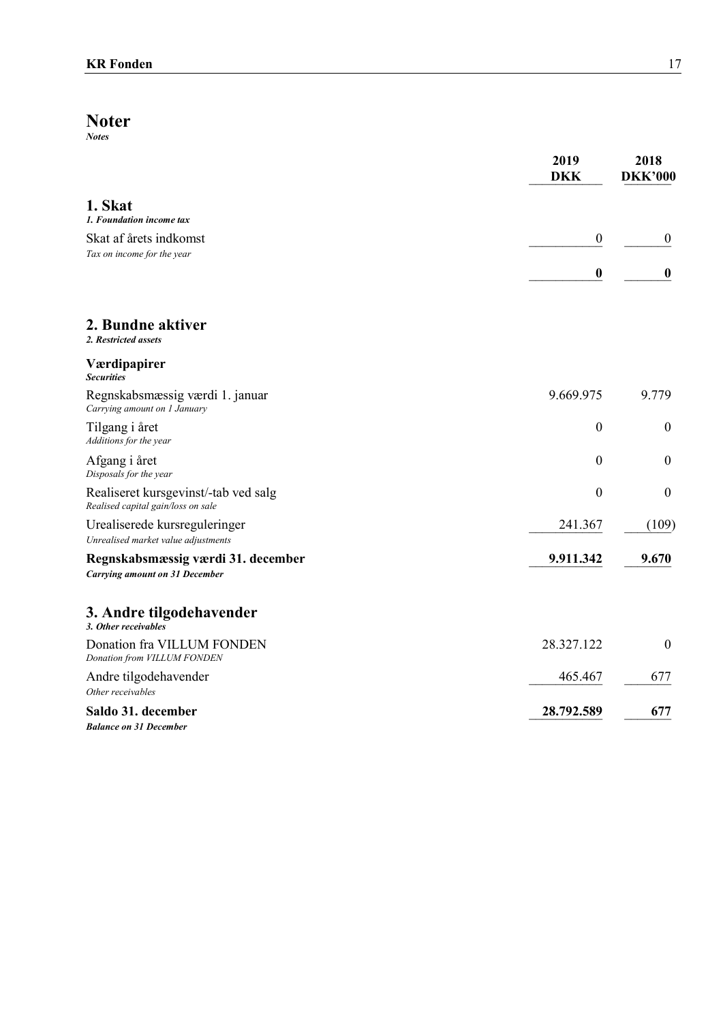# $\underset{\textit{Notes}}{\textbf{Noter}}$

|                                                                             | 2019<br><b>DKK</b> | 2018<br><b>DKK'000</b> |
|-----------------------------------------------------------------------------|--------------------|------------------------|
| 1. Skat<br>1. Foundation income tax                                         |                    |                        |
| Skat af årets indkomst                                                      | $\boldsymbol{0}$   | $\boldsymbol{0}$       |
| Tax on income for the year                                                  |                    |                        |
|                                                                             | $\boldsymbol{0}$   | $\bf{0}$               |
| 2. Bundne aktiver<br>2. Restricted assets                                   |                    |                        |
| Værdipapirer<br><b>Securities</b>                                           |                    |                        |
| Regnskabsmæssig værdi 1. januar<br>Carrying amount on 1 January             | 9.669.975          | 9.779                  |
| Tilgang i året<br>Additions for the year                                    | $\boldsymbol{0}$   | $\boldsymbol{0}$       |
| Afgang i året<br>Disposals for the year                                     | $\boldsymbol{0}$   | $\boldsymbol{0}$       |
| Realiseret kursgevinst/-tab ved salg<br>Realised capital gain/loss on sale  | $\boldsymbol{0}$   | $\boldsymbol{0}$       |
| Urealiserede kursreguleringer<br>Unrealised market value adjustments        | 241.367            | (109)                  |
| Regnskabsmæssig værdi 31. december<br><b>Carrying amount on 31 December</b> | 9.911.342          | 9.670                  |
| 3. Andre tilgodehavender<br>3. Other receivables                            |                    |                        |
| Donation fra VILLUM FONDEN<br>Donation from VILLUM FONDEN                   | 28.327.122         | $\boldsymbol{0}$       |
| Andre tilgodehavender<br>Other receivables                                  | 465.467            | 677                    |
| Saldo 31. december<br><b>Balance on 31 December</b>                         | 28.792.589         | 677                    |